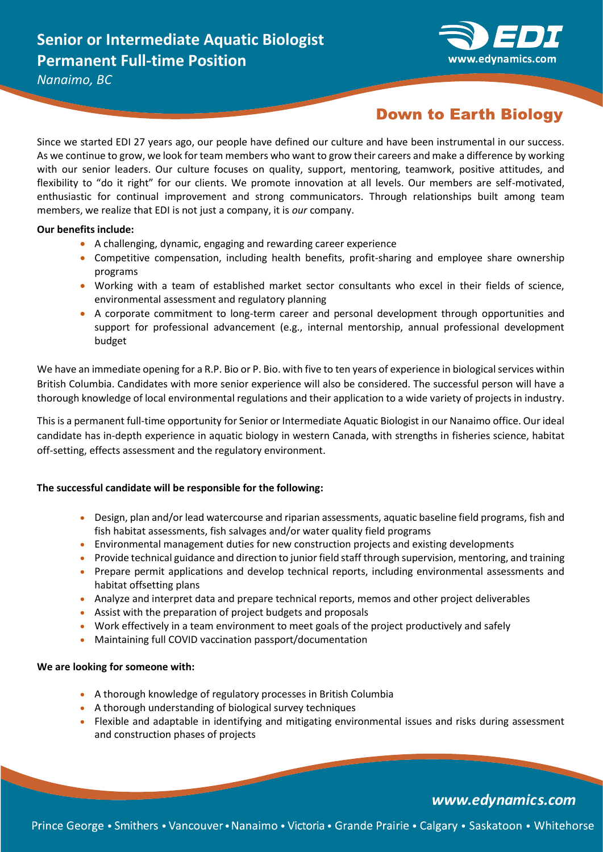

*Nanaimo, BC*

## **Down to Earth Biology**

Since we started EDI 27 years ago, our people have defined our culture and have been instrumental in our success. As we continue to grow, we look for team members who want to grow their careers and make a difference by working with our senior leaders. Our culture focuses on quality, support, mentoring, teamwork, positive attitudes, and flexibility to "do it right" for our clients. We promote innovation at all levels. Our members are self-motivated, enthusiastic for continual improvement and strong communicators. Through relationships built among team members, we realize that EDI is not just a company, it is *our* company.

## **Our benefits include:**

- A challenging, dynamic, engaging and rewarding career experience
- Competitive compensation, including health benefits, profit-sharing and employee share ownership programs
- Working with a team of established market sector consultants who excel in their fields of science, environmental assessment and regulatory planning
- A corporate commitment to long-term career and personal development through opportunities and support for professional advancement (e.g., internal mentorship, annual professional development budget

We have an immediate opening for a R.P. Bio or P. Bio. with five to ten years of experience in biological services within British Columbia. Candidates with more senior experience will also be considered. The successful person will have a thorough knowledge of local environmental regulations and their application to a wide variety of projects in industry.

This is a permanent full-time opportunity for Senior or Intermediate Aquatic Biologist in our Nanaimo office. Our ideal candidate has in-depth experience in aquatic biology in western Canada, with strengths in fisheries science, habitat off-setting, effects assessment and the regulatory environment.

## **The successful candidate will be responsible for the following:**

- Design, plan and/or lead watercourse and riparian assessments, aquatic baseline field programs, fish and fish habitat assessments, fish salvages and/or water quality field programs
- Environmental management duties for new construction projects and existing developments
- Provide technical guidance and direction to junior field staff through supervision, mentoring, and training
- Prepare permit applications and develop technical reports, including environmental assessments and habitat offsetting plans
- Analyze and interpret data and prepare technical reports, memos and other project deliverables
- Assist with the preparation of project budgets and proposals
- Work effectively in a team environment to meet goals of the project productively and safely
- Maintaining full COVID vaccination passport/documentation

### **We are looking for someone with:**

- A thorough knowledge of regulatory processes in British Columbia
- A thorough understanding of biological survey techniques
- Flexible and adaptable in identifying and mitigating environmental issues and risks during assessment and construction phases of projects

## www.edynamics.com